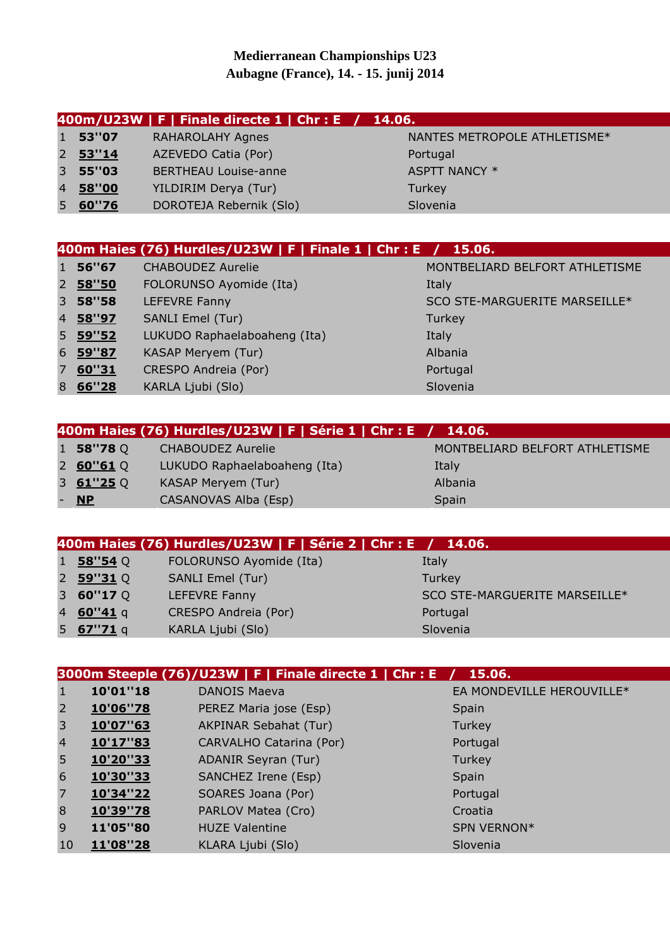|         | 400m/U23W   F   Finale directe 1   Chr : E / 14.06. |                              |
|---------|-----------------------------------------------------|------------------------------|
| 1 53"07 | <b>RAHAROLAHY Agnes</b>                             | NANTES METROPOLE ATHLETISME* |
| 2 53"14 | AZEVEDO Catia (Por)                                 | Portugal                     |
| 3.55"03 | <b>BERTHEAU Louise-anne</b>                         | <b>ASPTT NANCY *</b>         |
| 4 58"00 | YILDIRIM Derya (Tur)                                | Turkey                       |
| 5 60"76 | DOROTEJA Rebernik (Slo)                             | Slovenia                     |

|           | 400m Haies (76) Hurdles/U23W   F   Finale 1   Chr : E   /   15.06. |                                |
|-----------|--------------------------------------------------------------------|--------------------------------|
| 1 56"67   | <b>CHABOUDEZ Aurelie</b>                                           | MONTBELIARD BELFORT ATHLETISME |
| $2$ 58"50 | FOLORUNSO Ayomide (Ita)                                            | Italy                          |
| 3 58"58   | LEFEVRE Fanny                                                      | SCO STE-MARGUERITE MARSEILLE*  |
| 4 58"97   | SANLI Emel (Tur)                                                   | Turkey                         |
| $5$ 59"52 | LUKUDO Raphaelaboaheng (Ita)                                       | Italy                          |
| 6 59"87   | KASAP Meryem (Tur)                                                 | Albania                        |
| 7 60"31   | CRESPO Andreia (Por)                                               | Portugal                       |
| 8 66"28   | KARLA Ljubi (Slo)                                                  | Slovenia                       |
|           |                                                                    |                                |
|           |                                                                    |                                |

|             | 400m Haies (76) Hurdles/U23W   F   Série 1   Chr : E / 14.06. |                                |
|-------------|---------------------------------------------------------------|--------------------------------|
| 1 58"78 $Q$ | CHABOUDEZ Aurelie                                             | MONTBELIARD BELFORT ATHLETISME |
| 2 60"61 Q   | LUKUDO Raphaelaboaheng (Ita)                                  | Italy                          |
| 3 61"25 Q   | KASAP Meryem (Tur)                                            | Albania                        |
| - <u>NP</u> | CASANOVAS Alba (Esp)                                          | <b>Spain</b>                   |
|             |                                                               |                                |

|               | 400m Haies (76) Hurdles/U23W   F   Série 2   Chr : E / 14.06. |                               |
|---------------|---------------------------------------------------------------|-------------------------------|
| 1 58"54 Q     | FOLORUNSO Ayomide (Ita)                                       | Italy                         |
| 2 59"31 $Q$   | SANLI Emel (Tur)                                              | Turkey                        |
| 3 60"17 $Q$   | LEFEVRE Fanny                                                 | SCO STE-MARGUERITE MARSEILLE* |
| 4 $60''$ 41 q | CRESPO Andreia (Por)                                          | Portugal                      |
| 5 67"71 q     | KARLA Ljubi (Slo)                                             | Slovenia                      |

|                |          | 3000m Steeple (76)/U23W   F   Finale directe 1   Chr : E / | 15.06.                    |
|----------------|----------|------------------------------------------------------------|---------------------------|
| $\mathbf{1}$   | 10'01"18 | <b>DANOIS Maeva</b>                                        | EA MONDEVILLE HEROUVILLE* |
| 2              | 10'06"78 | PEREZ Maria jose (Esp)                                     | Spain                     |
| 3              | 10'07"63 | AKPINAR Sebahat (Tur)                                      | Turkey                    |
| $\overline{4}$ | 10'17"83 | CARVALHO Catarina (Por)                                    | Portugal                  |
| 5              | 10'20"33 | <b>ADANIR Seyran (Tur)</b>                                 | Turkey                    |
| 6              | 10'30"33 | SANCHEZ Irene (Esp)                                        | Spain                     |
| 7              | 10'34"22 | SOARES Joana (Por)                                         | Portugal                  |
| 8              | 10'39"78 | PARLOV Matea (Cro)                                         | Croatia                   |
| 9              | 11'05"80 | <b>HUZE Valentine</b>                                      | SPN VERNON*               |
| 10             | 11'08"28 | KLARA Ljubi (Slo)                                          | Slovenia                  |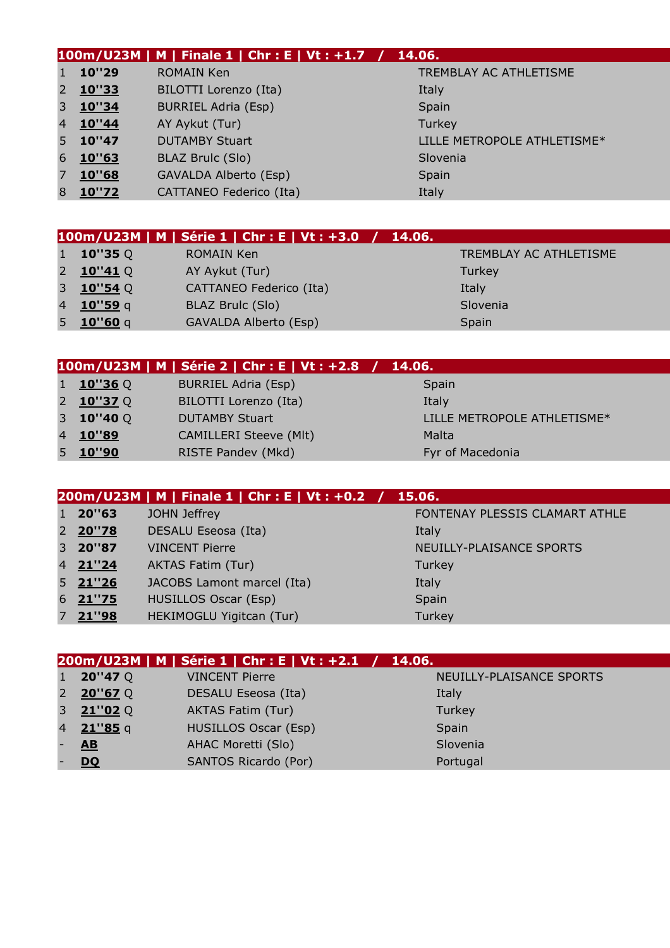|   |           | $100m/U23M$   M   Finale 1   Chr : E   Vt : +1.7 / | 14.06.                      |
|---|-----------|----------------------------------------------------|-----------------------------|
| 1 | 10"29     | <b>ROMAIN Ken</b>                                  | TREMBLAY AC ATHLETISME      |
|   | $2$ 10"33 | BILOTTI Lorenzo (Ita)                              | Italy                       |
|   | 3 10"34   | <b>BURRIEL Adria (Esp)</b>                         | Spain                       |
|   | 4 10"44   | AY Aykut (Tur)                                     | Turkey                      |
|   | $5$ 10"47 | <b>DUTAMBY Stuart</b>                              | LILLE METROPOLE ATHLETISME* |
|   | $6$ 10"63 | <b>BLAZ Brulc (Slo)</b>                            | Slovenia                    |
| 7 | 10"68     | GAVALDA Alberto (Esp)                              | Spain                       |
| 8 | 10''72    | CATTANEO Federico (Ita)                            | Italy                       |

|                  | 100m/U23M   M   Série 1   Chr : E   Vt : +3.0 / 14.06. |                        |
|------------------|--------------------------------------------------------|------------------------|
| 1 <b>10"35</b> Q | ROMAIN Ken                                             | TREMBLAY AC ATHLETISME |
| 2 $10''41$ Q     | AY Aykut (Tur)                                         | Turkey                 |
| 3 <b>10"54</b> Q | CATTANEO Federico (Ita)                                | Italy                  |
| 4 10"59 q        | <b>BLAZ Brulc (Slo)</b>                                | Slovenia               |
| $5 - 10$ "60 $q$ | GAVALDA Alberto (Esp)                                  | Spain                  |
|                  |                                                        |                        |

|                  | 100m/U23M   M   Série 2   Chr : E   Vt : +2.8 / | 14.06.                      |
|------------------|-------------------------------------------------|-----------------------------|
| 1 <b>10"36</b> Q | <b>BURRIEL Adria (Esp)</b>                      | Spain                       |
| 2 $10''37Q$      | BILOTTI Lorenzo (Ita)                           | Italy                       |
| 3 10"40 $Q$      | <b>DUTAMBY Stuart</b>                           | LILLE METROPOLE ATHLETISME* |
| 4 10"89          | <b>CAMILLERI Steeve (MIt)</b>                   | Malta                       |
| 5 10"90          | <b>RISTE Pandev (Mkd)</b>                       | Fyr of Macedonia            |

|   |         | $200m/U23M$   M   Finale 1   Chr : E   Vt : +0.2 / 15.06. |                                |
|---|---------|-----------------------------------------------------------|--------------------------------|
| 1 | 20"63   | JOHN Jeffrey                                              | FONTENAY PLESSIS CLAMART ATHLE |
|   | 2 20"78 | DESALU Eseosa (Ita)                                       | Italy                          |
|   | 3 20"87 | <b>VINCENT Pierre</b>                                     | NEUILLY-PLAISANCE SPORTS       |
|   | 4 21"24 | <b>AKTAS Fatim (Tur)</b>                                  | Turkey                         |
|   | 5 21"26 | JACOBS Lamont marcel (Ita)                                | Italy                          |
|   | 6 21"75 | <b>HUSILLOS Oscar (Esp)</b>                               | Spain                          |
|   | 7 21"98 | HEKIMOGLU Yigitcan (Tur)                                  | Turkey                         |

|                        | 200m/U23M   M   Série 1   Chr : E   Vt : +2.1 / | 14.06.                   |
|------------------------|-------------------------------------------------|--------------------------|
| $20''$ 47 Q            | <b>VINCENT Pierre</b>                           | NEUILLY-PLAISANCE SPORTS |
| 20''67Q                | DESALU Eseosa (Ita)                             | Italy                    |
| 21"02Q                 | <b>AKTAS Fatim (Tur)</b>                        | Turkey                   |
| 21''85q                | <b>HUSILLOS Oscar (Esp)</b>                     | Spain                    |
| $\mathbf{A}\mathbf{B}$ | AHAC Moretti (Slo)                              | Slovenia                 |
| <b>DO</b>              | SANTOS Ricardo (Por)                            | Portugal                 |
|                        |                                                 |                          |